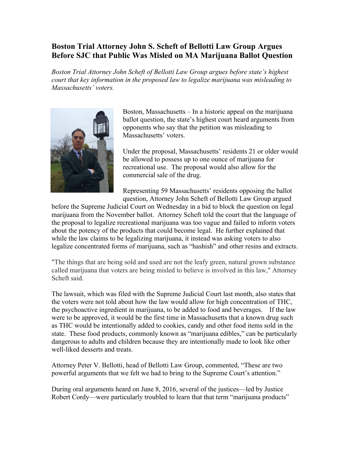## **Boston Trial Attorney John S. Scheft of Bellotti Law Group Argues Before SJC that Public Was Misled on MA Marijuana Ballot Question**

*Boston Trial Attorney John Scheft of Bellotti Law Group argues before state's highest court that key information in the proposed law to legalize marijuana was misleading to Massachusetts' voters.* 



Boston, Massachusetts – In a historic appeal on the marijuana ballot question, the state's highest court heard arguments from opponents who say that the petition was misleading to Massachusetts' voters.

Under the proposal, Massachusetts' residents 21 or older would be allowed to possess up to one ounce of marijuana for recreational use. The proposal would also allow for the commercial sale of the drug.

Representing 59 Massachusetts' residents opposing the ballot question, Attorney John Scheft of Bellotti Law Group argued

before the Supreme Judicial Court on Wednesday in a bid to block the question on legal marijuana from the November ballot. Attorney Scheft told the court that the language of the proposal to legalize recreational marijuana was too vague and failed to inform voters about the potency of the products that could become legal. He further explained that while the law claims to be legalizing marijuana, it instead was asking voters to also legalize concentrated forms of marijuana, such as "hashish" and other resins and extracts.

"The things that are being sold and used are not the leafy green, natural grown substance called marijuana that voters are being misled to believe is involved in this law," Attorney Scheft said.

The lawsuit, which was filed with the Supreme Judicial Court last month, also states that the voters were not told about how the law would allow for high concentration of THC, the psychoactive ingredient in marijuana, to be added to food and beverages. If the law were to be approved, it would be the first time in Massachusetts that a known drug such as THC would be intentionally added to cookies, candy and other food items sold in the state. These food products, commonly known as "marijuana edibles," can be particularly dangerous to adults and children because they are intentionally made to look like other well-liked desserts and treats.

Attorney Peter V. Bellotti, head of Bellotti Law Group, commented, "These are two powerful arguments that we felt we had to bring to the Supreme Court's attention."

During oral arguments heard on June 8, 2016, several of the justices—led by Justice Robert Cordy—were particularly troubled to learn that that term "marijuana products"